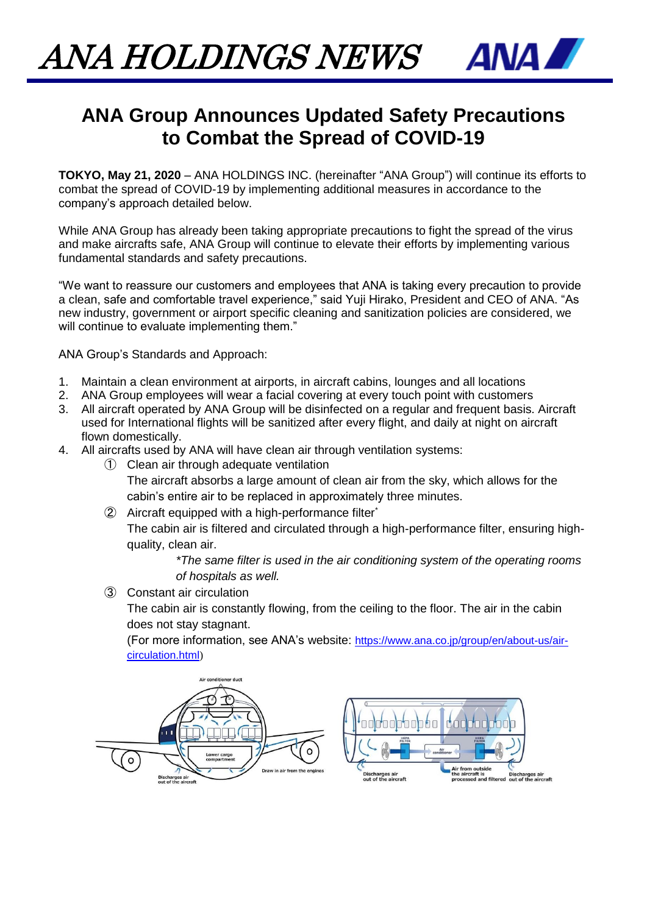ANA HOLDINGS NEWS



## **ANA Group Announces Updated Safety Precautions to Combat the Spread of COVID-19**

**TOKYO, May 21, 2020** – ANA HOLDINGS INC. (hereinafter "ANA Group") will continue its efforts to combat the spread of COVID-19 by implementing additional measures in accordance to the company's approach detailed below.

While ANA Group has already been taking appropriate precautions to fight the spread of the virus and make aircrafts safe, ANA Group will continue to elevate their efforts by implementing various fundamental standards and safety precautions.

"We want to reassure our customers and employees that ANA is taking every precaution to provide a clean, safe and comfortable travel experience," said Yuji Hirako, President and CEO of ANA. "As new industry, government or airport specific cleaning and sanitization policies are considered, we will continue to evaluate implementing them."

ANA Group's Standards and Approach:

- 1. Maintain a clean environment at airports, in aircraft cabins, lounges and all locations
- 2. ANA Group employees will wear a facial covering at every touch point with customers
- 3. All aircraft operated by ANA Group will be disinfected on a regular and frequent basis. Aircraft used for International flights will be sanitized after every flight, and daily at night on aircraft flown domestically.
- 4. All aircrafts used by ANA will have clean air through ventilation systems:
	- ① Clean air through adequate ventilation

The aircraft absorbs a large amount of clean air from the sky, which allows for the cabin's entire air to be replaced in approximately three minutes.

② Aircraft equipped with a high-performance filter\* The cabin air is filtered and circulated through a high-performance filter, ensuring highquality, clean air.

> *\*The same filter is used in the air conditioning system of the operating rooms of hospitals as well.*

③ Constant air circulation

The cabin air is constantly flowing, from the ceiling to the floor. The air in the cabin does not stay stagnant.

(For more information, see ANA's website: [https://www.ana.co.jp/group/en/about-us/air](https://www.ana.co.jp/group/en/about-us/air-circulation.html)[circulation.html](https://www.ana.co.jp/group/en/about-us/air-circulation.html))

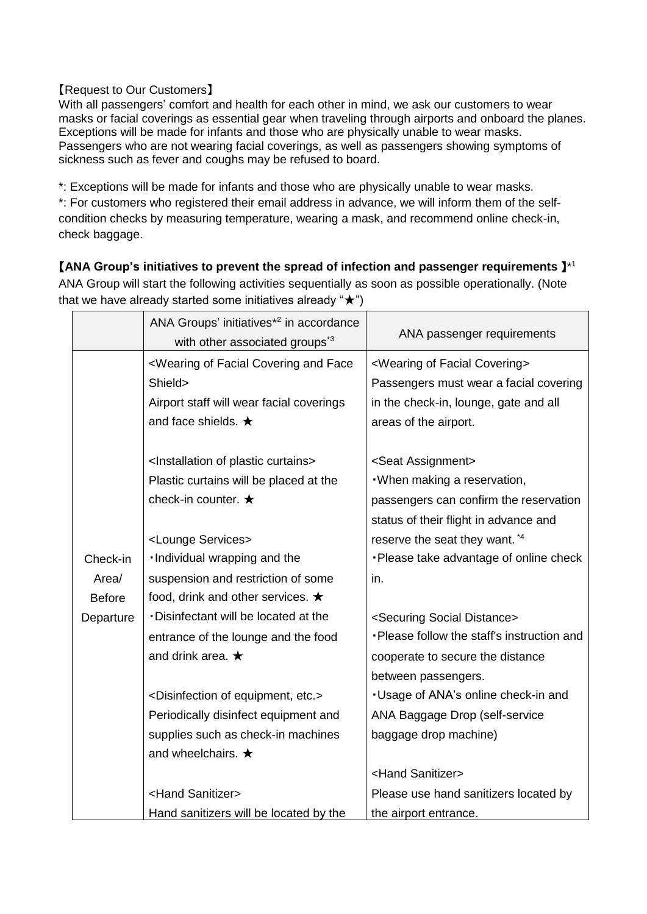## 【Request to Our Customers】

With all passengers' comfort and health for each other in mind, we ask our customers to wear masks or facial coverings as essential gear when traveling through airports and onboard the planes. Exceptions will be made for infants and those who are physically unable to wear masks. Passengers who are not wearing facial coverings, as well as passengers showing symptoms of sickness such as fever and coughs may be refused to board.

\*: Exceptions will be made for infants and those who are physically unable to wear masks.

\*: For customers who registered their email address in advance, we will inform them of the selfcondition checks by measuring temperature, wearing a mask, and recommend online check-in, check baggage.

## 【**ANA Group's initiatives to prevent the spread of infection and passenger requirements** 】\* 1

ANA Group will start the following activities sequentially as soon as possible operationally. (Note that we have already started some initiatives already " $\star$ ")

|               | ANA Groups' initiatives <sup>*2</sup> in accordance<br>with other associated groups <sup>*3</sup>                             | ANA passenger requirements                      |
|---------------|-------------------------------------------------------------------------------------------------------------------------------|-------------------------------------------------|
|               | <wearing and="" covering="" face<="" facial="" of="" td=""><td><wearing covering="" facial="" of=""></wearing></td></wearing> | <wearing covering="" facial="" of=""></wearing> |
|               | Shield>                                                                                                                       | Passengers must wear a facial covering          |
|               | Airport staff will wear facial coverings                                                                                      | in the check-in, lounge, gate and all           |
|               | and face shields. $\star$                                                                                                     | areas of the airport.                           |
|               |                                                                                                                               |                                                 |
|               | <lnstallation curtains="" of="" plastic=""></lnstallation>                                                                    | <seat assignment=""></seat>                     |
|               | Plastic curtains will be placed at the                                                                                        | . When making a reservation,                    |
|               | check-in counter. $\star$                                                                                                     | passengers can confirm the reservation          |
|               |                                                                                                                               | status of their flight in advance and           |
|               | <lounge services=""></lounge>                                                                                                 | reserve the seat they want. *4                  |
| Check-in      | . Individual wrapping and the                                                                                                 | ·Please take advantage of online check          |
| Area/         | suspension and restriction of some                                                                                            | in.                                             |
| <b>Before</b> | food, drink and other services. $\bigstar$                                                                                    |                                                 |
| Departure     | · Disinfectant will be located at the                                                                                         | <securing distance="" social=""></securing>     |
|               | entrance of the lounge and the food                                                                                           | . Please follow the staff's instruction and     |
|               | and drink area. $\star$                                                                                                       | cooperate to secure the distance                |
|               |                                                                                                                               | between passengers.                             |
|               | <disinfection equipment,="" etc.="" of=""></disinfection>                                                                     | . Usage of ANA's online check-in and            |
|               | Periodically disinfect equipment and                                                                                          | ANA Baggage Drop (self-service                  |
|               | supplies such as check-in machines                                                                                            | baggage drop machine)                           |
|               | and wheelchairs. $\star$                                                                                                      |                                                 |
|               |                                                                                                                               | <hand sanitizer=""></hand>                      |
|               | <hand sanitizer=""></hand>                                                                                                    | Please use hand sanitizers located by           |
|               | Hand sanitizers will be located by the                                                                                        | the airport entrance.                           |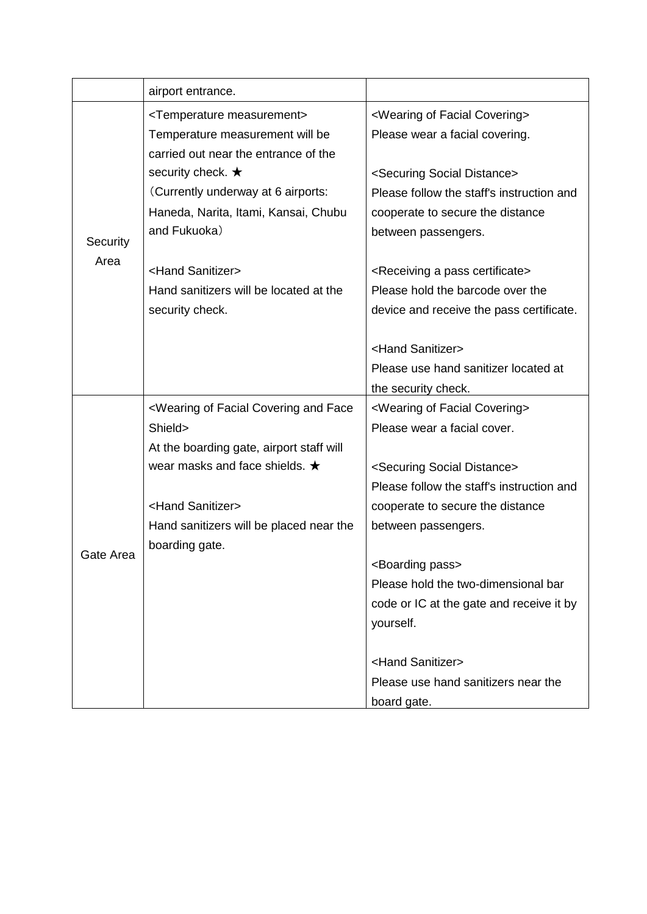|           | airport entrance.                                                                                                             |                                                     |
|-----------|-------------------------------------------------------------------------------------------------------------------------------|-----------------------------------------------------|
| Security  | <temperature measurement=""></temperature>                                                                                    | <wearing covering="" facial="" of=""></wearing>     |
|           | Temperature measurement will be                                                                                               | Please wear a facial covering.                      |
|           | carried out near the entrance of the                                                                                          |                                                     |
|           | security check. ★                                                                                                             | <securing distance="" social=""></securing>         |
|           | (Currently underway at 6 airports:                                                                                            | Please follow the staff's instruction and           |
|           | Haneda, Narita, Itami, Kansai, Chubu                                                                                          | cooperate to secure the distance                    |
|           | and Fukuoka)                                                                                                                  | between passengers.                                 |
| Area      |                                                                                                                               |                                                     |
|           | <hand sanitizer=""></hand>                                                                                                    | <receiving a="" certificate="" pass=""></receiving> |
|           | Hand sanitizers will be located at the                                                                                        | Please hold the barcode over the                    |
|           | security check.                                                                                                               | device and receive the pass certificate.            |
|           |                                                                                                                               | <hand sanitizer=""></hand>                          |
|           |                                                                                                                               | Please use hand sanitizer located at                |
|           |                                                                                                                               | the security check.                                 |
| Gate Area | <wearing and="" covering="" face<="" facial="" of="" td=""><td><wearing covering="" facial="" of=""></wearing></td></wearing> | <wearing covering="" facial="" of=""></wearing>     |
|           | Shield>                                                                                                                       | Please wear a facial cover.                         |
|           | At the boarding gate, airport staff will                                                                                      |                                                     |
|           | wear masks and face shields. $\star$                                                                                          | <securing distance="" social=""></securing>         |
|           |                                                                                                                               | Please follow the staff's instruction and           |
|           | <hand sanitizer=""></hand>                                                                                                    | cooperate to secure the distance                    |
|           | Hand sanitizers will be placed near the                                                                                       | between passengers.                                 |
|           | boarding gate.                                                                                                                |                                                     |
|           |                                                                                                                               | <boarding pass=""></boarding>                       |
|           |                                                                                                                               | Please hold the two-dimensional bar                 |
|           |                                                                                                                               | code or IC at the gate and receive it by            |
|           |                                                                                                                               | yourself.                                           |
|           |                                                                                                                               |                                                     |
|           |                                                                                                                               | <hand sanitizer=""></hand>                          |
|           |                                                                                                                               | Please use hand sanitizers near the                 |
|           |                                                                                                                               | board gate.                                         |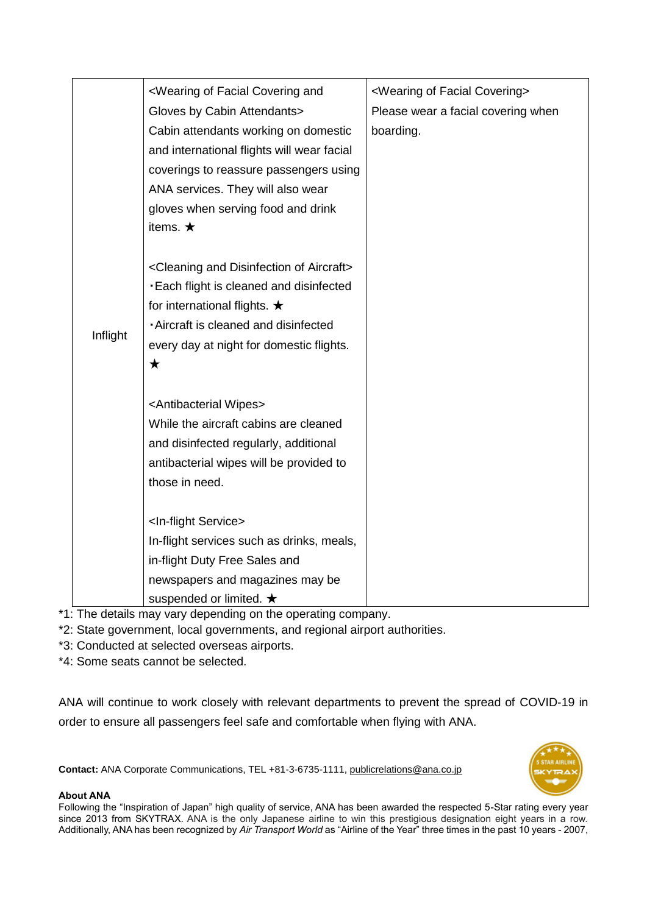|          | <wearing and<="" covering="" facial="" of="" th=""><th><wearing covering="" facial="" of=""></wearing></th></wearing> | <wearing covering="" facial="" of=""></wearing> |
|----------|-----------------------------------------------------------------------------------------------------------------------|-------------------------------------------------|
|          | Gloves by Cabin Attendants>                                                                                           | Please wear a facial covering when              |
|          | Cabin attendants working on domestic                                                                                  | boarding.                                       |
|          | and international flights will wear facial                                                                            |                                                 |
|          | coverings to reassure passengers using                                                                                |                                                 |
|          | ANA services. They will also wear                                                                                     |                                                 |
|          | gloves when serving food and drink                                                                                    |                                                 |
|          | items. $\star$                                                                                                        |                                                 |
|          |                                                                                                                       |                                                 |
|          | <cleaning aircraft="" and="" disinfection="" of=""></cleaning>                                                        |                                                 |
|          | . Each flight is cleaned and disinfected                                                                              |                                                 |
| Inflight | for international flights. $\star$                                                                                    |                                                 |
|          | - Aircraft is cleaned and disinfected                                                                                 |                                                 |
|          | every day at night for domestic flights.                                                                              |                                                 |
|          | $\bigstar$                                                                                                            |                                                 |
|          |                                                                                                                       |                                                 |
|          | <antibacterial wipes=""></antibacterial>                                                                              |                                                 |
|          | While the aircraft cabins are cleaned                                                                                 |                                                 |
|          | and disinfected regularly, additional                                                                                 |                                                 |
|          | antibacterial wipes will be provided to                                                                               |                                                 |
|          | those in need.                                                                                                        |                                                 |
|          |                                                                                                                       |                                                 |
|          | <in-flight service=""></in-flight>                                                                                    |                                                 |
|          | In-flight services such as drinks, meals,                                                                             |                                                 |
|          | in-flight Duty Free Sales and                                                                                         |                                                 |
|          | newspapers and magazines may be                                                                                       |                                                 |
|          | suspended or limited. $\bigstar$                                                                                      |                                                 |

\*1: The details may vary depending on the operating company.

\*2: State government, local governments, and regional airport authorities.

\*3: Conducted at selected overseas airports.

\*4: Some seats cannot be selected.

ANA will continue to work closely with relevant departments to prevent the spread of COVID-19 in order to ensure all passengers feel safe and comfortable when flying with ANA.

**Contact:** ANA Corporate Communications, TEL +81-3-6735-1111, [publicrelations@ana.co.jp](mailto:publicrelations@ana.co.jp) 



## **About ANA**

Following the "Inspiration of Japan" high quality of service, ANA has been awarded the respected 5-Star rating every year since 2013 from SKYTRAX. ANA is the only Japanese airline to win this prestigious designation eight years in a row. Additionally, ANA has been recognized by *Air Transport World* as "Airline of the Year" three times in the past 10 years - 2007,